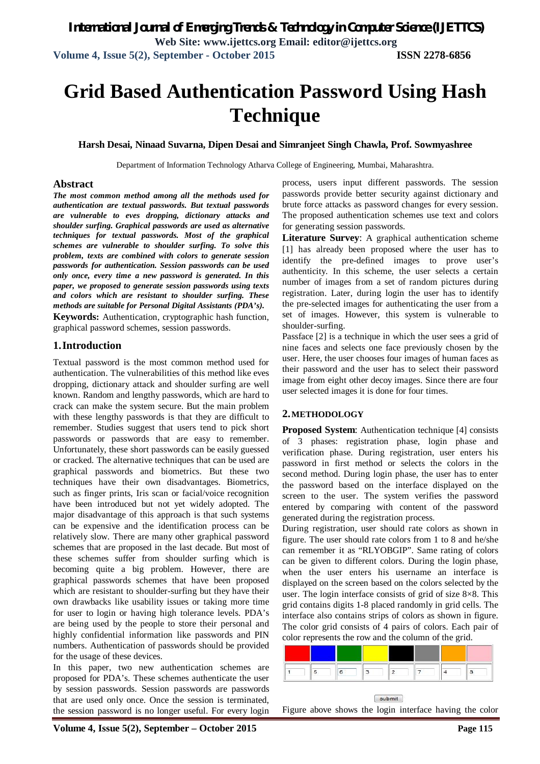# **Grid Based Authentication Password Using Hash Technique**

**Harsh Desai, Ninaad Suvarna, Dipen Desai and Simranjeet Singh Chawla, Prof. Sowmyashree**

Department of Information Technology Atharva College of Engineering, Mumbai, Maharashtra.

### **Abstract**

*The most common method among all the methods used for authentication are textual passwords. But textual passwords are vulnerable to eves dropping, dictionary attacks and shoulder surfing. Graphical passwords are used as alternative techniques for textual passwords. Most of the graphical schemes are vulnerable to shoulder surfing. To solve this problem, texts are combined with colors to generate session passwords for authentication. Session passwords can be used only once, every time a new password is generated. In this paper, we proposed to generate session passwords using texts and colors which are resistant to shoulder surfing. These methods are suitable for Personal Digital Assistants (PDA's).* **Keywords:** Authentication, cryptographic hash function,

graphical password schemes, session passwords.

### **1.Introduction**

Textual password is the most common method used for authentication. The vulnerabilities of this method like eves dropping, dictionary attack and shoulder surfing are well known. Random and lengthy passwords, which are hard to crack can make the system secure. But the main problem with these lengthy passwords is that they are difficult to remember. Studies suggest that users tend to pick short passwords or passwords that are easy to remember. Unfortunately, these short passwords can be easily guessed or cracked. The alternative techniques that can be used are graphical passwords and biometrics. But these two techniques have their own disadvantages. Biometrics, such as finger prints, Iris scan or facial/voice recognition have been introduced but not yet widely adopted. The major disadvantage of this approach is that such systems can be expensive and the identification process can be relatively slow. There are many other graphical password schemes that are proposed in the last decade. But most of these schemes suffer from shoulder surfing which is becoming quite a big problem. However, there are graphical passwords schemes that have been proposed which are resistant to shoulder-surfing but they have their own drawbacks like usability issues or taking more time for user to login or having high tolerance levels. PDA's are being used by the people to store their personal and highly confidential information like passwords and PIN numbers. Authentication of passwords should be provided for the usage of these devices.

In this paper, two new authentication schemes are proposed for PDA's. These schemes authenticate the user by session passwords. Session passwords are passwords that are used only once. Once the session is terminated, the session password is no longer useful. For every login

process, users input different passwords. The session passwords provide better security against dictionary and brute force attacks as password changes for every session. The proposed authentication schemes use text and colors for generating session passwords.

**Literature Survey**: A graphical authentication scheme [1] has already been proposed where the user has to identify the pre-defined images to prove user's authenticity. In this scheme, the user selects a certain number of images from a set of random pictures during registration. Later, during login the user has to identify the pre-selected images for authenticating the user from a set of images. However, this system is vulnerable to shoulder-surfing.

Passface [2] is a technique in which the user sees a grid of nine faces and selects one face previously chosen by the user. Here, the user chooses four images of human faces as their password and the user has to select their password image from eight other decoy images. Since there are four user selected images it is done for four times.

### **2.METHODOLOGY**

**Proposed System:** Authentication technique [4] consists of 3 phases: registration phase, login phase and verification phase. During registration, user enters his password in first method or selects the colors in the second method. During login phase, the user has to enter the password based on the interface displayed on the screen to the user. The system verifies the password entered by comparing with content of the password generated during the registration process.

During registration, user should rate colors as shown in figure. The user should rate colors from 1 to 8 and he/she can remember it as "RLYOBGIP". Same rating of colors can be given to different colors. During the login phase, when the user enters his username an interface is displayed on the screen based on the colors selected by the user. The login interface consists of grid of size 8×8. This grid contains digits 1-8 placed randomly in grid cells. The interface also contains strips of colors as shown in figure. The color grid consists of 4 pairs of colors. Each pair of color represents the row and the column of the grid.



Figure above shows the login interface having the color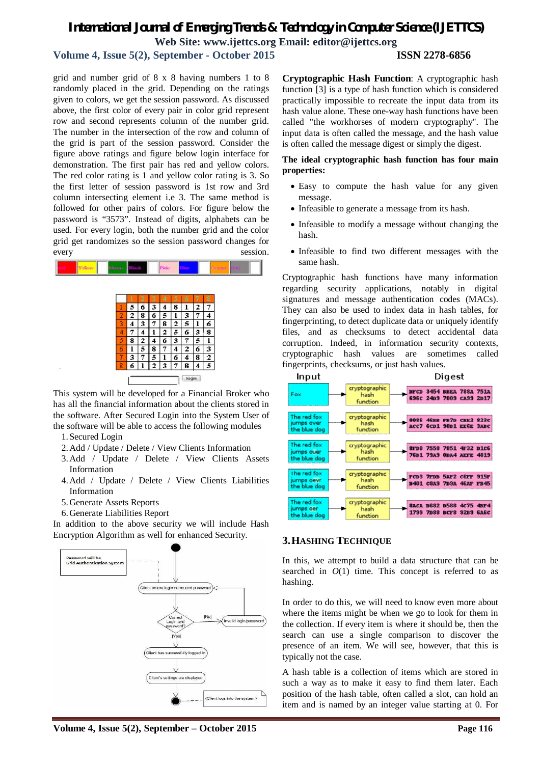# *International Journal of Emerging Trends & Technology in Computer Science (IJETTCS)* **Web Site: www.ijettcs.org Email: editor@ijettcs.org**

# **Volume 4, Issue 5(2), September - October 2015 ISSN 2278-6856**

grid and number grid of 8 x 8 having numbers 1 to 8 randomly placed in the grid. Depending on the ratings given to colors, we get the session password. As discussed above, the first color of every pair in color grid represent row and second represents column of the number grid. The number in the intersection of the row and column of the grid is part of the session password. Consider the figure above ratings and figure below login interface for demonstration. The first pair has red and yellow colors. The red color rating is 1 and yellow color rating is 3. So the first letter of session password is 1st row and 3rd column intersecting element i.e 3. The same method is followed for other pairs of colors. For figure below the password is "3573". Instead of digits, alphabets can be used. For every login, both the number grid and the color grid get randomizes so the session password changes for every session.



This system will be developed for a Financial Broker who has all the financial information about the clients stored in the software. After Secured Login into the System User of the software will be able to access the following modules

- 1.Secured Login
- 2.Add / Update / Delete / View Clients Information
- 3.Add / Update / Delete / View Clients Assets Information
- 4.Add / Update / Delete / View Clients Liabilities Information
- 5.Generate Assets Reports
- 6.Generate Liabilities Report

In addition to the above security we will include Hash Encryption Algorithm as well for enhanced Security.



**Cryptographic Hash Function**: A cryptographic hash function [3] is a type of hash function which is considered practically impossible to recreate the input data from its hash value alone. These one-way hash functions have been called "the workhorses of modern cryptography". The input data is often called the message, and the hash value is often called the message digest or simply the digest.

**The ideal cryptographic hash function has four main properties:**

- Easy to compute the hash value for any given message.
- Infeasible to generate a message from its hash.
- Infeasible to modify a message without changing the hash.
- Infeasible to find two different messages with the same hash.

Cryptographic hash functions have many information regarding security applications, notably in digital signatures and message authentication codes (MACs). They can also be used to index data in hash tables, for fingerprinting, to detect duplicate data or uniquely identify files, and as checksums to detect accidental data corruption. Indeed, in information security contexts, cryptographic hash values are sometimes called fingerprints, checksums, or just hash values.



# **3.HASHING TECHNIQUE**

In this, we attempt to build a data structure that can be searched in  $O(1)$  time. This concept is referred to as hashing.

In order to do this, we will need to know even more about where the items might be when we go to look for them in the collection. If every item is where it should be, then the search can use a single comparison to discover the presence of an item. We will see, however, that this is typically not the case.

A hash table is a collection of items which are stored in such a way as to make it easy to find them later. Each position of the hash table, often called a slot, can hold an item and is named by an integer value starting at 0. For

**Volume 4, Issue 5(2), September – October 2015 Page 116**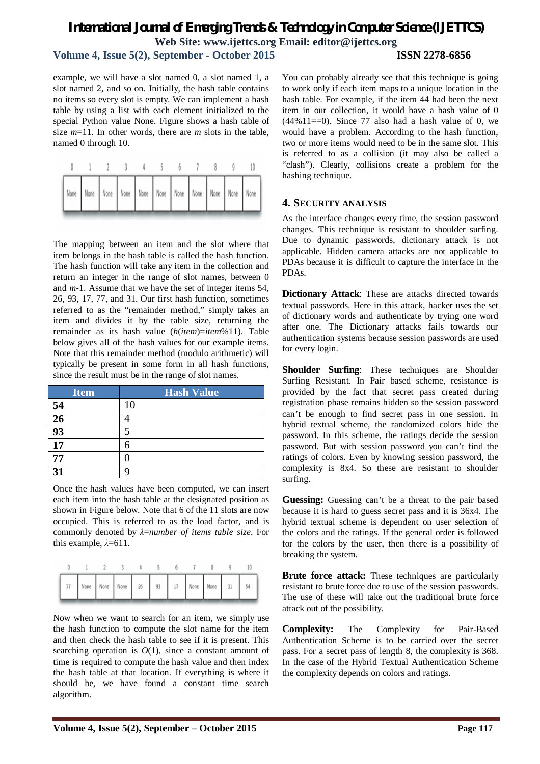# *International Journal of Emerging Trends & Technology in Computer Science (IJETTCS)* **Web Site: www.ijettcs.org Email: editor@ijettcs.org Volume 4, Issue 5(2), September - October 2015 ISSN 2278-6856**

example, we will have a slot named 0, a slot named 1, a slot named 2, and so on. Initially, the hash table contains no items so every slot is empty. We can implement a hash table by using a list with each element initialized to the special Python value None. Figure shows a hash table of size *m*=11. In other words, there are *m* slots in the table, named 0 through 10.

The mapping between an item and the slot where that item belongs in the hash table is called the hash function. The hash function will take any item in the collection and return an integer in the range of slot names, between 0 and *m*-1. Assume that we have the set of integer items 54, 26, 93, 17, 77, and 31. Our first hash function, sometimes referred to as the "remainder method," simply takes an item and divides it by the table size, returning the remainder as its hash value (*h*(*item*)=*item*%11). Table below gives all of the hash values for our example items. Note that this remainder method (modulo arithmetic) will typically be present in some form in all hash functions, since the result must be in the range of slot names.

| <b>Item</b> | <b>Hash Value</b> |
|-------------|-------------------|
| 54          | 10                |
| 26          |                   |
| 93          | 5                 |
| 17          |                   |
| 77          |                   |
| 31          | C                 |

Once the hash values have been computed, we can insert each item into the hash table at the designated position as shown in Figure below. Note that 6 of the 11 slots are now occupied. This is referred to as the load factor, and is commonly denoted by *λ*=*number of items table size*. For this example, *λ*=611.



Now when we want to search for an item, we simply use the hash function to compute the slot name for the item and then check the hash table to see if it is present. This searching operation is  $O(1)$ , since a constant amount of time is required to compute the hash value and then index the hash table at that location. If everything is where it should be, we have found a constant time search algorithm.

You can probably already see that this technique is going to work only if each item maps to a unique location in the hash table. For example, if the item 44 had been the next item in our collection, it would have a hash value of 0  $(44\%11==0)$ . Since 77 also had a hash value of 0, we would have a problem. According to the hash function, two or more items would need to be in the same slot. This is referred to as a collision (it may also be called a "clash"). Clearly, collisions create a problem for the hashing technique.

### **4. SECURITY ANALYSIS**

As the interface changes every time, the session password changes. This technique is resistant to shoulder surfing. Due to dynamic passwords, dictionary attack is not applicable. Hidden camera attacks are not applicable to PDAs because it is difficult to capture the interface in the PDAs.

**Dictionary Attack**: These are attacks directed towards textual passwords. Here in this attack, hacker uses the set of dictionary words and authenticate by trying one word after one. The Dictionary attacks fails towards our authentication systems because session passwords are used for every login.

**Shoulder Surfing**: These techniques are Shoulder Surfing Resistant. In Pair based scheme, resistance is provided by the fact that secret pass created during registration phase remains hidden so the session password can't be enough to find secret pass in one session. In hybrid textual scheme, the randomized colors hide the password. In this scheme, the ratings decide the session password. But with session password you can't find the ratings of colors. Even by knowing session password, the complexity is 8x4. So these are resistant to shoulder surfing.

**Guessing:** Guessing can't be a threat to the pair based because it is hard to guess secret pass and it is 36x4. The hybrid textual scheme is dependent on user selection of the colors and the ratings. If the general order is followed for the colors by the user, then there is a possibility of breaking the system.

**Brute force attack:** These techniques are particularly resistant to brute force due to use of the session passwords. The use of these will take out the traditional brute force attack out of the possibility.

**Complexity:** The Complexity for Pair-Based Authentication Scheme is to be carried over the secret pass. For a secret pass of length 8, the complexity is 368. In the case of the Hybrid Textual Authentication Scheme the complexity depends on colors and ratings.